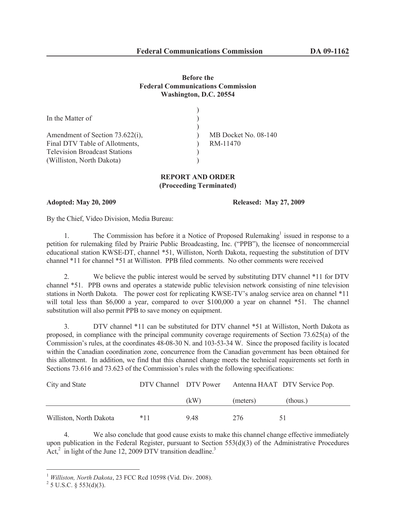## **Before the Federal Communications Commission Washington, D.C. 20554**

| In the Matter of                     |                      |
|--------------------------------------|----------------------|
|                                      |                      |
| Amendment of Section 73.622(i),      | MB Docket No. 08-140 |
| Final DTV Table of Allotments,       | RM-11470             |
| <b>Television Broadcast Stations</b> |                      |
| (Williston, North Dakota)            |                      |

## **REPORT AND ORDER (Proceeding Terminated)**

**Adopted: May 20, 2009 Released: May 27, 2009**

By the Chief, Video Division, Media Bureau:

1. The Commission has before it a Notice of Proposed Rulemaking<sup>1</sup> issued in response to a petition for rulemaking filed by Prairie Public Broadcasting, Inc. ("PPB"), the licensee of noncommercial educational station KWSE-DT, channel \*51, Williston, North Dakota, requesting the substitution of DTV channel \*11 for channel \*51 at Williston. PPB filed comments. No other comments were received

2. We believe the public interest would be served by substituting DTV channel \*11 for DTV channel \*51. PPB owns and operates a statewide public television network consisting of nine television stations in North Dakota. The power cost for replicating KWSE-TV's analog service area on channel \*11 will total less than \$6,000 a year, compared to over \$100,000 a year on channel \*51. The channel substitution will also permit PPB to save money on equipment.

3. DTV channel \*11 can be substituted for DTV channel \*51 at Williston, North Dakota as proposed, in compliance with the principal community coverage requirements of Section 73.625(a) of the Commission's rules, at the coordinates 48-08-30 N. and 103-53-34 W. Since the proposed facility is located within the Canadian coordination zone, concurrence from the Canadian government has been obtained for this allotment. In addition, we find that this channel change meets the technical requirements set forth in Sections 73.616 and 73.623 of the Commission's rules with the following specifications:

| City and State          | DTV Channel DTV Power |      |          | Antenna HAAT DTV Service Pop. |
|-------------------------|-----------------------|------|----------|-------------------------------|
|                         |                       | (kW) | (meters) | (thous.)                      |
| Williston, North Dakota | $*11$                 | 948  | 276      |                               |

4. We also conclude that good cause exists to make this channel change effective immediately upon publication in the Federal Register, pursuant to Section 553(d)(3) of the Administrative Procedures Act, $^2$  in light of the June 12, 2009 DTV transition deadline.<sup>3</sup>

<sup>1</sup> *Williston, North Dakota*, 23 FCC Rcd 10598 (Vid. Div. 2008).

 $^{2}$  5 U.S.C. § 553(d)(3).